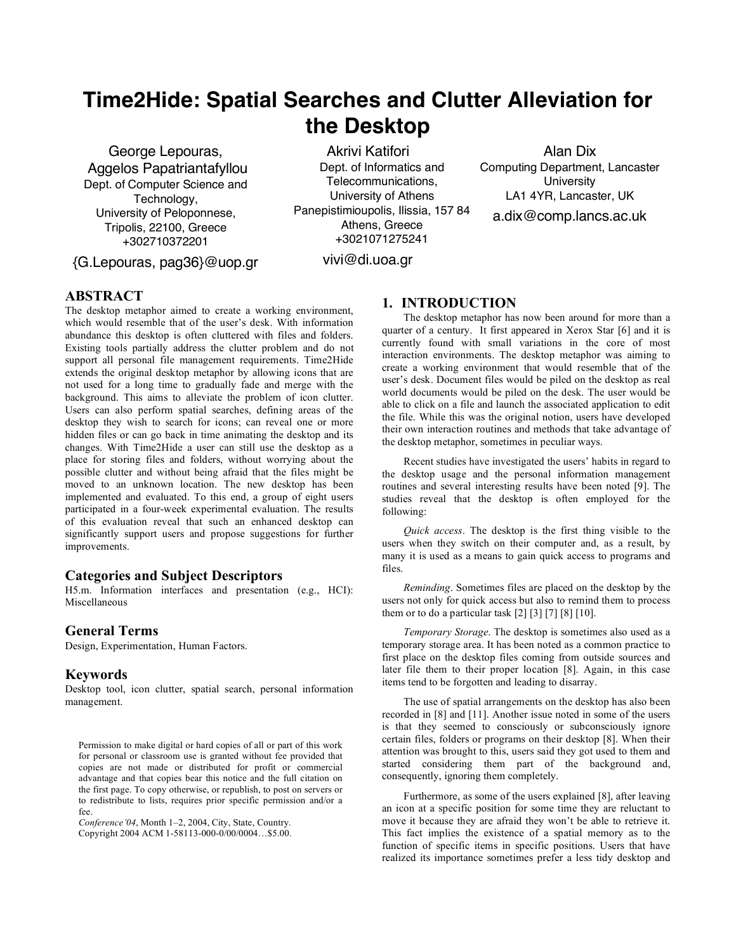# **Time2Hide: Spatial Searches and Clutter Alleviation for the Desktop**

George Lepouras, Aggelos Papatriantafyllou Dept. of Computer Science and Technology, University of Peloponnese, Tripolis, 22100, Greece +302710372201

{G.Lepouras, pag36}@uop.gr

Akrivi Katifori Dept. of Informatics and Telecommunications, University of Athens Panepistimioupolis, Ilissia, 157 84 Athens, Greece +3021071275241

Alan Dix Computing Department, Lancaster **University** LA1 4YR, Lancaster, UK

a.dix@comp.lancs.ac.uk

## vivi@di.uoa.gr

## **ABSTRACT**

The desktop metaphor aimed to create a working environment, which would resemble that of the user's desk. With information abundance this desktop is often cluttered with files and folders. Existing tools partially address the clutter problem and do not support all personal file management requirements. Time2Hide extends the original desktop metaphor by allowing icons that are not used for a long time to gradually fade and merge with the background. This aims to alleviate the problem of icon clutter. Users can also perform spatial searches, defining areas of the desktop they wish to search for icons; can reveal one or more hidden files or can go back in time animating the desktop and its changes. With Time2Hide a user can still use the desktop as a place for storing files and folders, without worrying about the possible clutter and without being afraid that the files might be moved to an unknown location. The new desktop has been implemented and evaluated. To this end, a group of eight users participated in a four-week experimental evaluation. The results of this evaluation reveal that such an enhanced desktop can significantly support users and propose suggestions for further improvements.

## **Categories and Subject Descriptors**

H5.m. Information interfaces and presentation (e.g., HCI): Miscellaneous

#### **General Terms**

Design, Experimentation, Human Factors.

### **Keywords**

Desktop tool, icon clutter, spatial search, personal information management.

*Conference'04*, Month 1–2, 2004, City, State, Country.

Copyright 2004 ACM 1-58113-000-0/00/0004…\$5.00.

## **1. INTRODUCTION**

The desktop metaphor has now been around for more than a quarter of a century. It first appeared in Xerox Star [6] and it is currently found with small variations in the core of most interaction environments. The desktop metaphor was aiming to create a working environment that would resemble that of the user's desk. Document files would be piled on the desktop as real world documents would be piled on the desk. The user would be able to click on a file and launch the associated application to edit the file. While this was the original notion, users have developed their own interaction routines and methods that take advantage of the desktop metaphor, sometimes in peculiar ways.

Recent studies have investigated the users' habits in regard to the desktop usage and the personal information management routines and several interesting results have been noted [9]. The studies reveal that the desktop is often employed for the following:

*Quick access*. The desktop is the first thing visible to the users when they switch on their computer and, as a result, by many it is used as a means to gain quick access to programs and files.

*Reminding*. Sometimes files are placed on the desktop by the users not only for quick access but also to remind them to process them or to do a particular task  $\lceil 2 \rceil \lceil 3 \rceil \lceil 7 \rceil \lceil 8 \rceil \lceil 10 \rceil$ .

*Temporary Storage*. The desktop is sometimes also used as a temporary storage area. It has been noted as a common practice to first place on the desktop files coming from outside sources and later file them to their proper location [8]. Again, in this case items tend to be forgotten and leading to disarray.

The use of spatial arrangements on the desktop has also been recorded in [8] and [11]. Another issue noted in some of the users is that they seemed to consciously or subconsciously ignore certain files, folders or programs on their desktop [8]. When their attention was brought to this, users said they got used to them and started considering them part of the background and, consequently, ignoring them completely.

Furthermore, as some of the users explained [8], after leaving an icon at a specific position for some time they are reluctant to move it because they are afraid they won't be able to retrieve it. This fact implies the existence of a spatial memory as to the function of specific items in specific positions. Users that have realized its importance sometimes prefer a less tidy desktop and

Permission to make digital or hard copies of all or part of this work for personal or classroom use is granted without fee provided that copies are not made or distributed for profit or commercial advantage and that copies bear this notice and the full citation on the first page. To copy otherwise, or republish, to post on servers or to redistribute to lists, requires prior specific permission and/or a fee.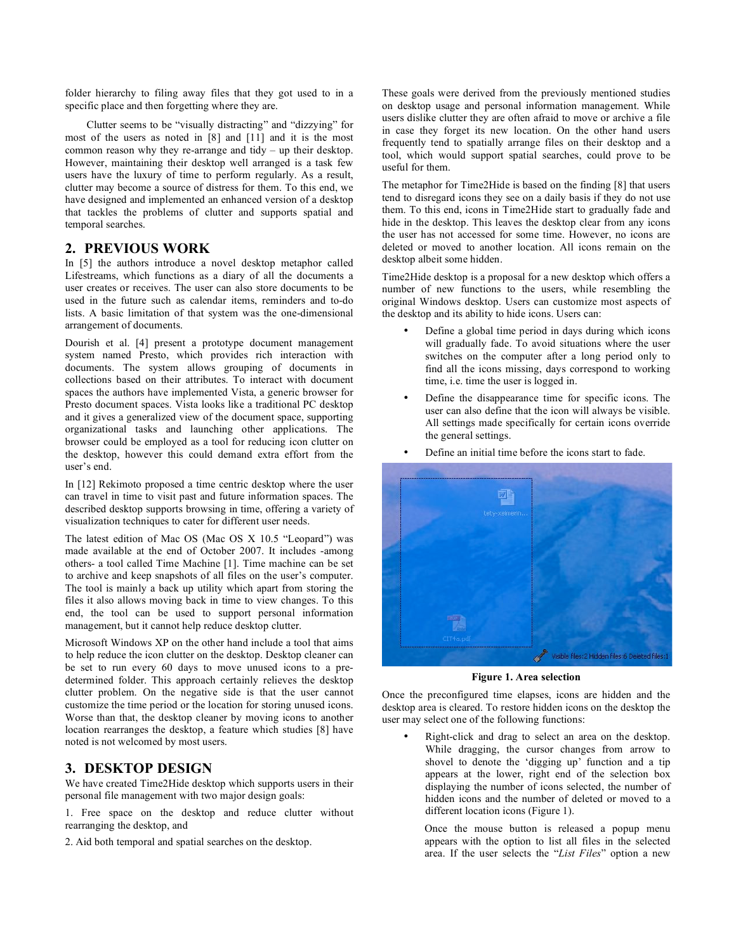folder hierarchy to filing away files that they got used to in a specific place and then forgetting where they are.

Clutter seems to be "visually distracting" and "dizzying" for most of the users as noted in [8] and [11] and it is the most common reason why they re-arrange and tidy – up their desktop. However, maintaining their desktop well arranged is a task few users have the luxury of time to perform regularly. As a result, clutter may become a source of distress for them. To this end, we have designed and implemented an enhanced version of a desktop that tackles the problems of clutter and supports spatial and temporal searches.

## **2. PREVIOUS WORK**

In [5] the authors introduce a novel desktop metaphor called Lifestreams, which functions as a diary of all the documents a user creates or receives. The user can also store documents to be used in the future such as calendar items, reminders and to-do lists. A basic limitation of that system was the one-dimensional arrangement of documents.

Dourish et al. [4] present a prototype document management system named Presto, which provides rich interaction with documents. The system allows grouping of documents in collections based on their attributes. To interact with document spaces the authors have implemented Vista, a generic browser for Presto document spaces. Vista looks like a traditional PC desktop and it gives a generalized view of the document space, supporting organizational tasks and launching other applications. The browser could be employed as a tool for reducing icon clutter on the desktop, however this could demand extra effort from the user's end.

In [12] Rekimoto proposed a time centric desktop where the user can travel in time to visit past and future information spaces. The described desktop supports browsing in time, offering a variety of visualization techniques to cater for different user needs.

The latest edition of Mac OS (Mac OS X 10.5 "Leopard") was made available at the end of October 2007. It includes -among others- a tool called Time Machine [1]. Time machine can be set to archive and keep snapshots of all files on the user's computer. The tool is mainly a back up utility which apart from storing the files it also allows moving back in time to view changes. To this end, the tool can be used to support personal information management, but it cannot help reduce desktop clutter.

Microsoft Windows XP on the other hand include a tool that aims to help reduce the icon clutter on the desktop. Desktop cleaner can be set to run every 60 days to move unused icons to a predetermined folder. This approach certainly relieves the desktop clutter problem. On the negative side is that the user cannot customize the time period or the location for storing unused icons. Worse than that, the desktop cleaner by moving icons to another location rearranges the desktop, a feature which studies [8] have noted is not welcomed by most users.

## **3. DESKTOP DESIGN**

We have created Time2Hide desktop which supports users in their personal file management with two major design goals:

1. Free space on the desktop and reduce clutter without rearranging the desktop, and

2. Aid both temporal and spatial searches on the desktop.

These goals were derived from the previously mentioned studies on desktop usage and personal information management. While users dislike clutter they are often afraid to move or archive a file in case they forget its new location. On the other hand users frequently tend to spatially arrange files on their desktop and a tool, which would support spatial searches, could prove to be useful for them.

The metaphor for Time2Hide is based on the finding [8] that users tend to disregard icons they see on a daily basis if they do not use them. To this end, icons in Time2Hide start to gradually fade and hide in the desktop. This leaves the desktop clear from any icons the user has not accessed for some time. However, no icons are deleted or moved to another location. All icons remain on the desktop albeit some hidden.

Time2Hide desktop is a proposal for a new desktop which offers a number of new functions to the users, while resembling the original Windows desktop. Users can customize most aspects of the desktop and its ability to hide icons. Users can:

- Define a global time period in days during which icons will gradually fade. To avoid situations where the user switches on the computer after a long period only to find all the icons missing, days correspond to working time, i.e. time the user is logged in.
- Define the disappearance time for specific icons. The user can also define that the icon will always be visible. All settings made specifically for certain icons override the general settings.
- Define an initial time before the icons start to fade.



**Figure 1. Area selection** 

Once the preconfigured time elapses, icons are hidden and the desktop area is cleared. To restore hidden icons on the desktop the user may select one of the following functions:

Right-click and drag to select an area on the desktop. While dragging, the cursor changes from arrow to shovel to denote the 'digging up' function and a tip appears at the lower, right end of the selection box displaying the number of icons selected, the number of hidden icons and the number of deleted or moved to a different location icons (Figure 1).

Once the mouse button is released a popup menu appears with the option to list all files in the selected area. If the user selects the "*List Files*" option a new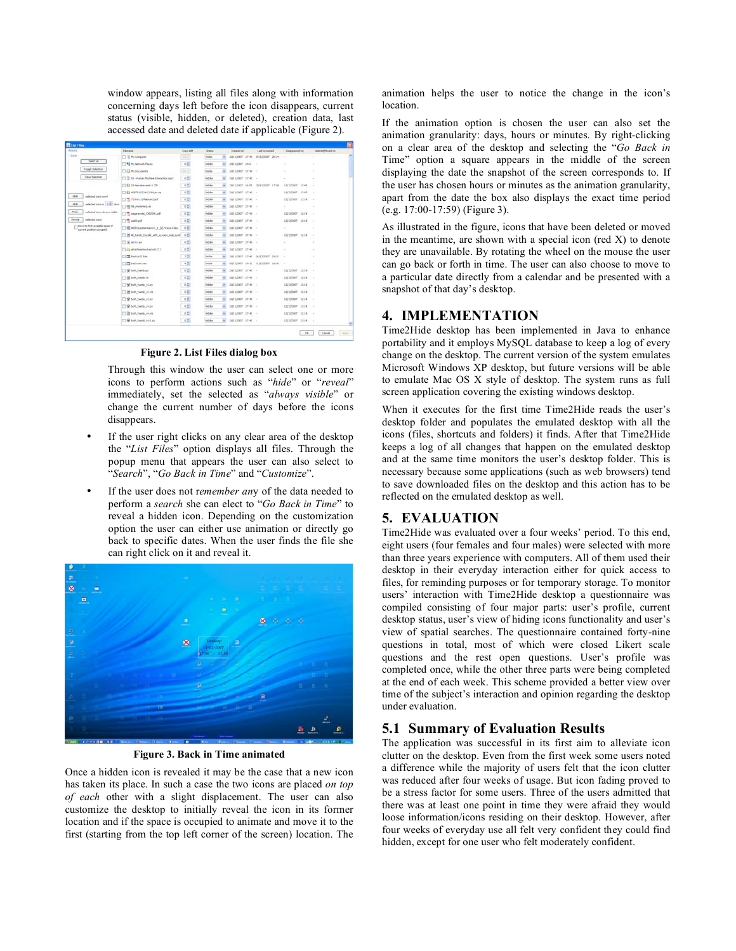window appears, listing all files along with information concerning days left before the icon disappears, current status (visible, hidden, or deleted), creation data, last accessed date and deleted date if applicable (Figure 2).

| Actions                                                         | Fémane                                            | <b>Cours left</b> | <b>Suite</b>  |   | Created on         | Last Accessed                     | Discussed in         | Deleted Mound on |  |
|-----------------------------------------------------------------|---------------------------------------------------|-------------------|---------------|---|--------------------|-----------------------------------|----------------------|------------------|--|
| <b>Size</b>                                                     | <b>ED M</b> Hy Congrater                          | 99.2)             | Visible       | × | 20/11/2007 17:40   | 04110307 2014                     |                      |                  |  |
| Select AB                                                       | <sup>6</sup> Ply National Flaries                 | 25                | Hollan,       | ٠ | 2011/09/27 14:0    | - 4                               |                      |                  |  |
| <b>Taggle Selection</b>                                         | <b>COM</b> Documents                              | œ                 | Visible       | ÷ | D6/11/2007 17:40 - |                                   |                      |                  |  |
| Clear Selection                                                 | [7] It is - Human Machine Interaction right       | → #               | 1953m         | ٠ | 26/11/2007 17:40 - |                                   |                      |                  |  |
| Hole<br>selected icons now!                                     | 1 23 03 helicaline card (L29)                     | 12.7              | <b>Fedder</b> | ٠ |                    | 26/11/2007 14:53 26/11/2807 17:28 | ELECTRONIC ETHIC     | ٠                |  |
|                                                                 | [ ] { ] 40875-0321912194 Jn.cp                    | $0 - 1$           | <b>Hidden</b> | ٠ | DEFENDED ET-40 -   |                                   | <b>HIGHWED LT-48</b> | $\sim$           |  |
|                                                                 | [7] T100x1.1(Hatman).juff                         | 1.7               | <b>Hidden</b> | ٠ | 26/11/2007 17:40 - |                                   | LIGHTHONY LESS       | - 2              |  |
| selected installs (C.O.) days<br>sade.                          | □图 M, myseled.via                                 | 本型                | regan         | ÷ | DESIGNET STHE      |                                   | ÷                    | ٠                |  |
| <b>Hale</b><br>selected icons always viable                     | <sup>1</sup> To exprovals, OS2506 pdf             | 0.2               | <b>Vidden</b> | ٠ | 26/11/2007 (7)40 - |                                   | 12/12/2007 12:19     | 14               |  |
| <b>Bened</b><br>salested state.                                 | $\Box$ $\Xi$ +400 $\mu$ f                         | 17.               | Haddon        | ٠ | 26/11/2007 17:40 - |                                   | 1221203007 12:10     | -                |  |
| yrs have to first available space if<br>beiguten mitlens Ymns." | [18] ADD (sedamared, 1 [1] 4 use 5.8x             | $8 - 2$           | <b>Index</b>  | × | DEEDERE STHE -     |                                   |                      | ۰                |  |
|                                                                 | □ 图 4(Bandy trouble_with_a_voice_noil_syste 0 0 0 |                   | restor.       | v | 26/11/2007 17:40 - |                                   | 1211253007 12:18     | $\sim$           |  |
|                                                                 | <b>THE art-trunk</b>                              | 0.7               | <b>Hotel</b>  | ٠ | 26/11/2007 17:40 - |                                   |                      | ٠                |  |
|                                                                 | C cartachesete diactoril 7.1                      | $5 - 2$           | <b>Inddex</b> | ٠ | D6/11/D007 17:40 - |                                   | ٠                    | ÷                |  |
|                                                                 | FISTINGUIDE N                                     | 2.7               | Volte         | ٠ |                    | 26/11/2007 17:40 GM12/2007 19:21  |                      |                  |  |
|                                                                 | [1] Philadinas.com                                | 46                | Visible       | ÷ |                    | ISILIZER IN 1 11/1/2007 16:14     |                      |                  |  |
|                                                                 | Tighoth hands av                                  | 0.21              | 165MG         | × | 26/11/2007 17:40 - |                                   | SIGLIANCE LESS       | $\sim$           |  |
|                                                                 | [1] If both hands in                              | 0.7               | <b>Hallen</b> | ۷ | DAYLUDDET L7-40 -  |                                   | LISLANDER LEISE      | ٠                |  |
|                                                                 | TT for both hands v2.pv                           | $8 - 7$           | resson        | × | 26/11/2007 17:40 - |                                   | 12/12/0007 12:18     | $\sim$           |  |
|                                                                 | □ 图 lub hands (2.4)                               | $15^{1}$          | <b>Hidden</b> | × | 26/11/2007 17:40 - |                                   | 120320007 12:18      | -                |  |
|                                                                 | El SP both Janda, stay                            | ■雷                | reason        | ٠ | DAILUMET ET-40 -   |                                   | LISLANDET L2:10      | ÷                |  |
|                                                                 | State Lands of an                                 | 0.2               | <b>Hidden</b> | ÷ | 26/11/2007 17:40 - |                                   | E2YLODDEF E2:10      | ÷                |  |
|                                                                 | □ 國 tub Jank H-it                                 | 土型                | <b>Hidden</b> | ٠ | DISTURBED ET/40 -  |                                   | LIGATIONS! LEISE     | -                |  |
|                                                                 | To both hands infolling                           | 15.               | <b>Faller</b> | ٠ | 26/11/2007 17:40 - |                                   | 12/12/2007 12:10     | - 4              |  |

**Figure 2. List Files dialog box** 

Through this window the user can select one or more icons to perform actions such as "*hide*" or "*reveal*" immediately, set the selected as "*always visible*" or change the current number of days before the icons disappears.

- If the user right clicks on any clear area of the desktop the "*List Files*" option displays all files. Through the popup menu that appears the user can also select to "*Search*", "*Go Back in Time*" and "*Customize*".
- If the user does not r*emember an*y of the data needed to perform a *search* she can elect to "*Go Back in Time*" to reveal a hidden icon. Depending on the customization option the user can either use animation or directly go back to specific dates. When the user finds the file she can right click on it and reveal it.



**Figure 3. Back in Time animated** 

Once a hidden icon is revealed it may be the case that a new icon has taken its place. In such a case the two icons are placed *on top of each* other with a slight displacement. The user can also customize the desktop to initially reveal the icon in its former location and if the space is occupied to animate and move it to the first (starting from the top left corner of the screen) location. The

animation helps the user to notice the change in the icon's location.

If the animation option is chosen the user can also set the animation granularity: days, hours or minutes. By right-clicking on a clear area of the desktop and selecting the "*Go Back in*  Time" option a square appears in the middle of the screen displaying the date the snapshot of the screen corresponds to. If the user has chosen hours or minutes as the animation granularity, apart from the date the box also displays the exact time period (e.g. 17:00-17:59) (Figure 3).

As illustrated in the figure, icons that have been deleted or moved in the meantime, are shown with a special icon (red  $X$ ) to denote they are unavailable. By rotating the wheel on the mouse the user can go back or forth in time. The user can also choose to move to a particular date directly from a calendar and be presented with a snapshot of that day's desktop.

### **4. IMPLEMENTATION**

Time2Hide desktop has been implemented in Java to enhance portability and it employs MySQL database to keep a log of every change on the desktop. The current version of the system emulates Microsoft Windows XP desktop, but future versions will be able to emulate Mac OS X style of desktop. The system runs as full screen application covering the existing windows desktop.

When it executes for the first time Time2Hide reads the user's desktop folder and populates the emulated desktop with all the icons (files, shortcuts and folders) it finds. After that Time2Hide keeps a log of all changes that happen on the emulated desktop and at the same time monitors the user's desktop folder. This is necessary because some applications (such as web browsers) tend to save downloaded files on the desktop and this action has to be reflected on the emulated desktop as well.

## **5. EVALUATION**

Time2Hide was evaluated over a four weeks' period. To this end, eight users (four females and four males) were selected with more than three years experience with computers. All of them used their desktop in their everyday interaction either for quick access to files, for reminding purposes or for temporary storage. To monitor users' interaction with Time2Hide desktop a questionnaire was compiled consisting of four major parts: user's profile, current desktop status, user's view of hiding icons functionality and user's view of spatial searches. The questionnaire contained forty-nine questions in total, most of which were closed Likert scale questions and the rest open questions. User's profile was completed once, while the other three parts were being completed at the end of each week. This scheme provided a better view over time of the subject's interaction and opinion regarding the desktop under evaluation.

## **5.1 Summary of Evaluation Results**

The application was successful in its first aim to alleviate icon clutter on the desktop. Even from the first week some users noted a difference while the majority of users felt that the icon clutter was reduced after four weeks of usage. But icon fading proved to be a stress factor for some users. Three of the users admitted that there was at least one point in time they were afraid they would loose information/icons residing on their desktop. However, after four weeks of everyday use all felt very confident they could find hidden, except for one user who felt moderately confident.